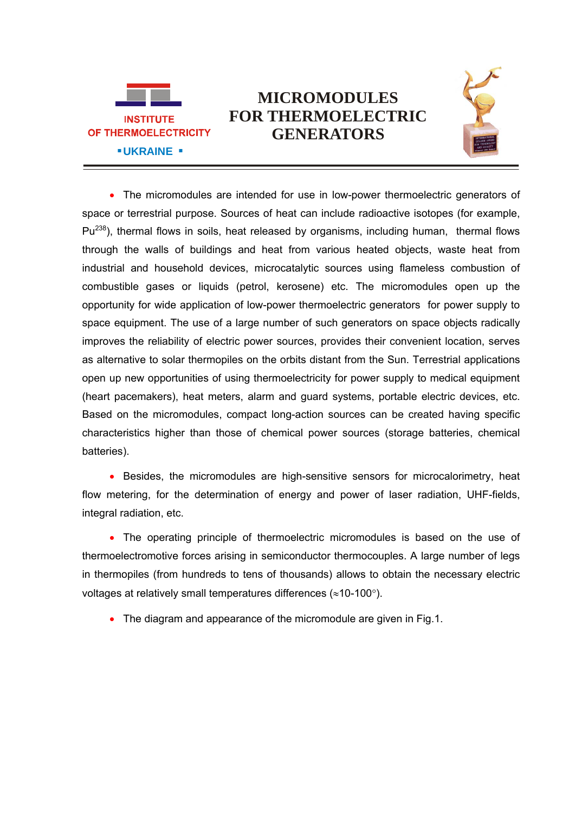

## **MICROMODULES FOR THERMOELECTRIC GENERATORS**



• The micromodules are intended for use in low-power thermoelectric generators of space or terrestrial purpose. Sources of heat can include radioactive isotopes (for example,  $Pu^{238}$ ), thermal flows in soils, heat released by organisms, including human, thermal flows through the walls of buildings and heat from various heated objects, waste heat from industrial and household devices, microcatalytic sources using flameless combustion of combustible gases or liquids (petrol, kerosene) etc. The micromodules open up the opportunity for wide application of low-power thermoelectric generators for power supply to space equipment. The use of a large number of such generators on space objects radically improves the reliability of electric power sources, provides their convenient location, serves as alternative to solar thermopiles on the orbits distant from the Sun. Terrestrial applications open up new opportunities of using thermoelectricity for power supply to medical equipment (heart pacemakers), heat meters, alarm and guard systems, portable electric devices, etc. Based on the micromodules, compact long-action sources can be created having specific characteristics higher than those of chemical power sources (storage batteries, chemical batteries).

• Besides, the micromodules are high-sensitive sensors for microcalorimetry, heat flow metering, for the determination of energy and power of laser radiation, UHF-fields, integral radiation, etc.

• The operating principle of thermoelectric micromodules is based on the use of thermoelectromotive forces arising in semiconductor thermocouples. A large number of legs in thermopiles (from hundreds to tens of thousands) allows to obtain the necessary electric voltages at relatively small temperatures differences ( $\approx$ 10-100 $\degree$ ).

• The diagram and appearance of the micromodule are given in Fig.1.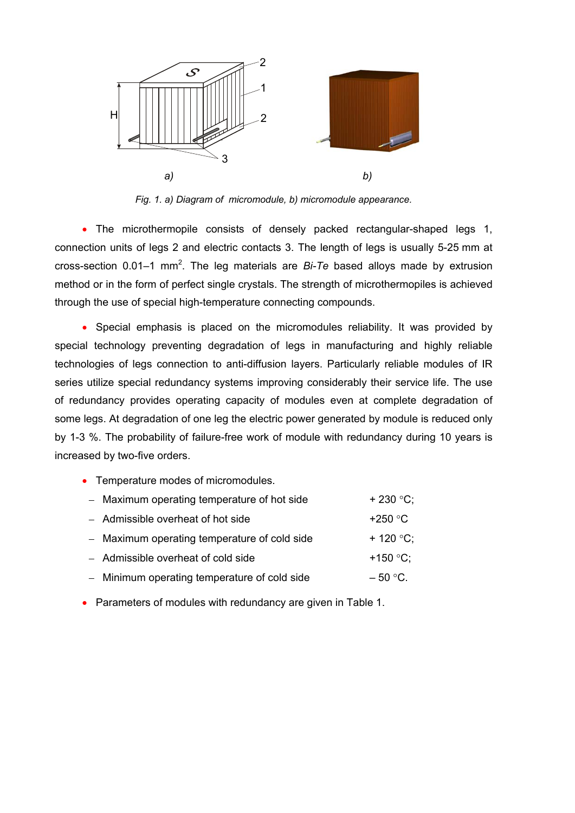

*Fig. 1. а) Diagram of micromodule, b) micromodule appearance.*

• The microthermopile consists of densely packed rectangular-shaped legs 1, connection units of legs 2 and electric contacts 3. The length of legs is usually 5-25 mm at cross-section 0.01–1 mm<sup>2</sup>. The leg materials are *Bi-Te* based alloys made by extrusion method or in the form of perfect single crystals. The strength of microthermopiles is achieved through the use of special high-temperature connecting compounds.

 Special emphasis is placed on the micromodules reliability. It was provided by special technology preventing degradation of legs in manufacturing and highly reliable technologies of legs connection to anti-diffusion layers. Particularly reliable modules of IR series utilize special redundancy systems improving considerably their service life. The use of redundancy provides operating capacity of modules even at complete degradation of some legs. At degradation of one leg the electric power generated by module is reduced only by 1-3 %. The probability of failure-free work of module with redundancy during 10 years is increased by two-five orders.

• Temperature modes of micromodules.

| - Maximum operating temperature of hot side  | $+ 230 °C$ ;        |
|----------------------------------------------|---------------------|
| - Admissible overheat of hot side            | +250 $\degree$ C    |
| - Maximum operating temperature of cold side | + 120 $^{\circ}$ C; |
| - Admissible overheat of cold side           | +150 $^{\circ}$ C:  |
| - Minimum operating temperature of cold side | $-50$ °C.           |

• Parameters of modules with redundancy are given in Table 1.